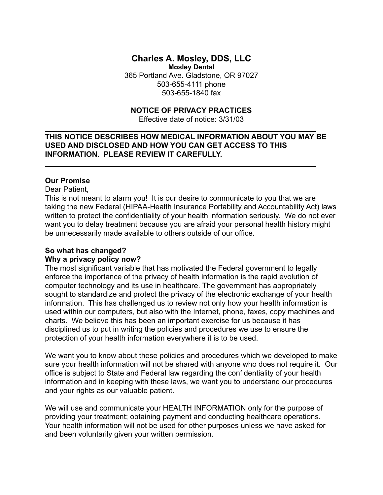#### **Charles A. Mosley, DDS, LLC Mosley Dental**

365 Portland Ave. Gladstone, OR 97027 503-655-4111 phone 503-655-1840 fax

# **NOTICE OF PRIVACY PRACTICES**

Effective date of notice: 3/31/03

# **THIS NOTICE DESCRIBES HOW MEDICAL INFORMATION ABOUT YOU MAY BE USED AND DISCLOSED AND HOW YOU CAN GET ACCESS TO THIS INFORMATION. PLEASE REVIEW IT CAREFULLY.**

**\_\_\_\_\_\_\_\_\_\_\_\_\_\_\_\_\_\_\_\_\_\_\_\_\_\_\_\_\_\_\_\_\_\_\_\_\_\_\_\_\_\_\_\_\_\_\_\_\_\_\_\_\_\_\_\_\_\_\_\_\_\_\_\_\_**

**\_\_\_\_\_\_\_\_\_\_\_\_\_\_\_\_\_\_\_\_\_\_\_\_\_\_\_\_\_\_\_\_\_\_\_\_\_\_\_\_\_\_\_\_\_\_\_\_\_\_\_\_\_\_\_\_\_\_\_\_\_\_\_\_\_**

### **Our Promise**

Dear Patient,

This is not meant to alarm you! It is our desire to communicate to you that we are taking the new Federal (HIPAA-Health Insurance Portability and Accountability Act) laws written to protect the confidentiality of your health information seriously. We do not ever want you to delay treatment because you are afraid your personal health history might be unnecessarily made available to others outside of our office.

#### **So what has changed?**

#### **Why a privacy policy now?**

The most significant variable that has motivated the Federal government to legally enforce the importance of the privacy of health information is the rapid evolution of computer technology and its use in healthcare. The government has appropriately sought to standardize and protect the privacy of the electronic exchange of your health information. This has challenged us to review not only how your health information is used within our computers, but also with the Internet, phone, faxes, copy machines and charts. We believe this has been an important exercise for us because it has disciplined us to put in writing the policies and procedures we use to ensure the protection of your health information everywhere it is to be used.

We want you to know about these policies and procedures which we developed to make sure your health information will not be shared with anyone who does not require it. Our office is subject to State and Federal law regarding the confidentiality of your health information and in keeping with these laws, we want you to understand our procedures and your rights as our valuable patient.

We will use and communicate your HEALTH INFORMATION only for the purpose of providing your treatment; obtaining payment and conducting healthcare operations. Your health information will not be used for other purposes unless we have asked for and been voluntarily given your written permission.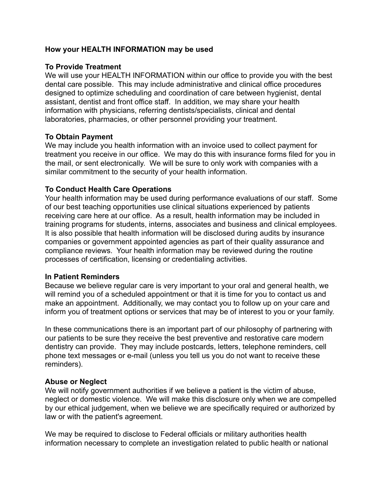# **How your HEALTH INFORMATION may be used**

# **To Provide Treatment**

We will use your HEALTH INFORMATION within our office to provide you with the best dental care possible. This may include administrative and clinical office procedures designed to optimize scheduling and coordination of care between hygienist, dental assistant, dentist and front office staff. In addition, we may share your health information with physicians, referring dentists/specialists, clinical and dental laboratories, pharmacies, or other personnel providing your treatment.

## **To Obtain Payment**

We may include you health information with an invoice used to collect payment for treatment you receive in our office. We may do this with insurance forms filed for you in the mail, or sent electronically. We will be sure to only work with companies with a similar commitment to the security of your health information.

# **To Conduct Health Care Operations**

Your health information may be used during performance evaluations of our staff. Some of our best teaching opportunities use clinical situations experienced by patients receiving care here at our office. As a result, health information may be included in training programs for students, interns, associates and business and clinical employees. It is also possible that health information will be disclosed during audits by insurance companies or government appointed agencies as part of their quality assurance and compliance reviews. Your health information may be reviewed during the routine processes of certification, licensing or credentialing activities.

## **In Patient Reminders**

Because we believe regular care is very important to your oral and general health, we will remind you of a scheduled appointment or that it is time for you to contact us and make an appointment. Additionally, we may contact you to follow up on your care and inform you of treatment options or services that may be of interest to you or your family.

In these communications there is an important part of our philosophy of partnering with our patients to be sure they receive the best preventive and restorative care modern dentistry can provide. They may include postcards, letters, telephone reminders, cell phone text messages or e-mail (unless you tell us you do not want to receive these reminders).

## **Abuse or Neglect**

We will notify government authorities if we believe a patient is the victim of abuse, neglect or domestic violence. We will make this disclosure only when we are compelled by our ethical judgement, when we believe we are specifically required or authorized by law or with the patient's agreement.

We may be required to disclose to Federal officials or military authorities health information necessary to complete an investigation related to public health or national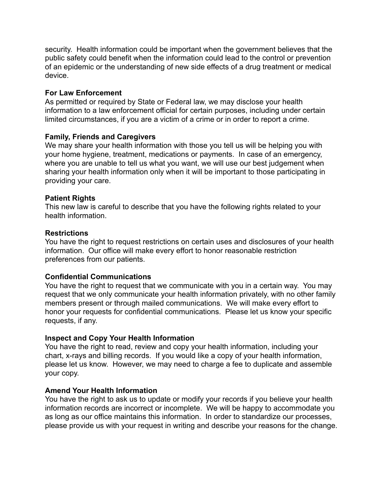security. Health information could be important when the government believes that the public safety could benefit when the information could lead to the control or prevention of an epidemic or the understanding of new side effects of a drug treatment or medical device.

## **For Law Enforcement**

As permitted or required by State or Federal law, we may disclose your health information to a law enforcement official for certain purposes, including under certain limited circumstances, if you are a victim of a crime or in order to report a crime.

### **Family, Friends and Caregivers**

We may share your health information with those you tell us will be helping you with your home hygiene, treatment, medications or payments. In case of an emergency, where you are unable to tell us what you want, we will use our best judgement when sharing your health information only when it will be important to those participating in providing your care.

### **Patient Rights**

This new law is careful to describe that you have the following rights related to your health information.

### **Restrictions**

You have the right to request restrictions on certain uses and disclosures of your health information. Our office will make every effort to honor reasonable restriction preferences from our patients.

## **Confidential Communications**

You have the right to request that we communicate with you in a certain way. You may request that we only communicate your health information privately, with no other family members present or through mailed communications. We will make every effort to honor your requests for confidential communications. Please let us know your specific requests, if any.

#### **Inspect and Copy Your Health Information**

You have the right to read, review and copy your health information, including your chart, x-rays and billing records. If you would like a copy of your health information, please let us know. However, we may need to charge a fee to duplicate and assemble your copy.

#### **Amend Your Health Information**

You have the right to ask us to update or modify your records if you believe your health information records are incorrect or incomplete. We will be happy to accommodate you as long as our office maintains this information. In order to standardize our processes, please provide us with your request in writing and describe your reasons for the change.